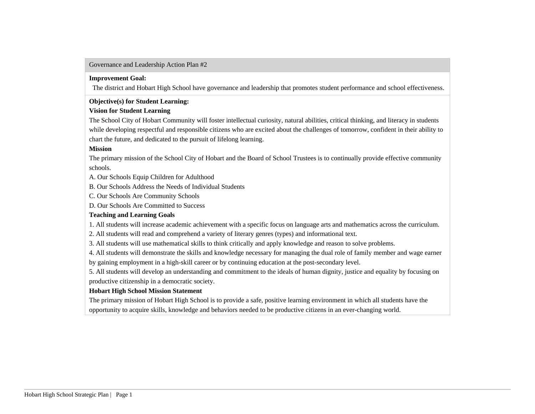## Governance and Leadership Action Plan #2

### **Improvement Goal:**

The district and Hobart High School have governance and leadership that promotes student performance and school effectiveness.

## **Objective(s) for Student Learning:**

## **Vision for Student Learning**

The School City of Hobart Community will foster intellectual curiosity, natural abilities, critical thinking, and literacy in students while developing respectful and responsible citizens who are excited about the challenges of tomorrow, confident in their ability to chart the future, and dedicated to the pursuit of lifelong learning.

## **Mission**

The primary mission of the School City of Hobart and the Board of School Trustees is to continually provide effective community schools.

- A. Our Schools Equip Children for Adulthood
- B. Our Schools Address the Needs of Individual Students
- C. Our Schools Are Community Schools
- D. Our Schools Are Committed to Success

## **Teaching and Learning Goals**

1. All students will increase academic achievement with a specific focus on language arts and mathematics across the curriculum.

- 2. All students will read and comprehend a variety of literary genres (types) and informational text.
- 3. All students will use mathematical skills to think critically and apply knowledge and reason to solve problems.

4. All students will demonstrate the skills and knowledge necessary for managing the dual role of family member and wage earner

by gaining employment in a high-skill career or by continuing education at the post-secondary level.

5. All students will develop an understanding and commitment to the ideals of human dignity, justice and equality by focusing on productive citizenship in a democratic society.

## **Hobart High School Mission Statement**

The primary mission of Hobart High School is to provide a safe, positive learning environment in which all students have the opportunity to acquire skills, knowledge and behaviors needed to be productive citizens in an ever-changing world.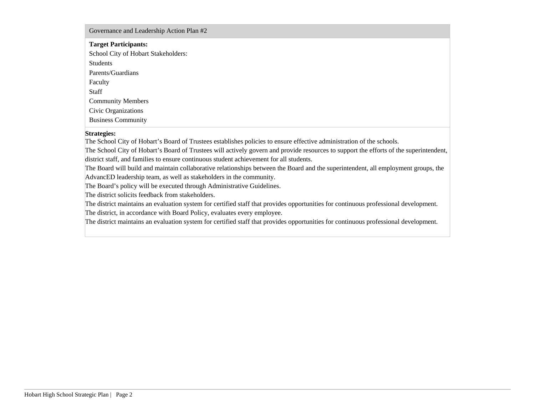## Governance and Leadership Action Plan #2

| <b>Target Participants:</b>         |
|-------------------------------------|
| School City of Hobart Stakeholders: |
| Students                            |
| Parents/Guardians                   |
| Faculty                             |
| Staff                               |
| <b>Community Members</b>            |
| Civic Organizations                 |
| <b>Business Community</b>           |

### **Strategies:**

The School City of Hobart's Board of Trustees establishes policies to ensure effective administration of the schools.

The School City of Hobart's Board of Trustees will actively govern and provide resources to support the efforts of the superintendent, district staff, and families to ensure continuous student achievement for all students.

The Board will build and maintain collaborative relationships between the Board and the superintendent, all employment groups, the AdvancED leadership team, as well as stakeholders in the community.

The Board's policy will be executed through Administrative Guidelines.

The district solicits feedback from stakeholders.

The district maintains an evaluation system for certified staff that provides opportunities for continuous professional development. The district, in accordance with Board Policy, evaluates every employee.

The district maintains an evaluation system for certified staff that provides opportunities for continuous professional development.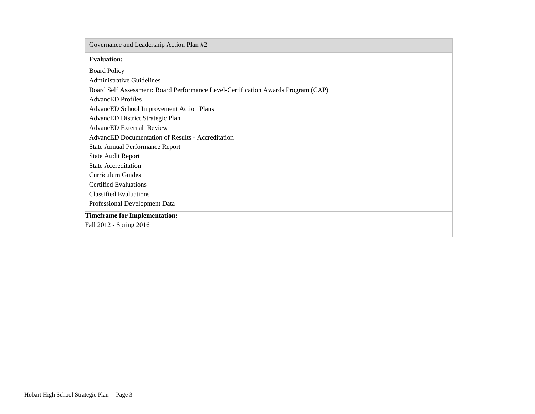## Governance and Leadership Action Plan #2

#### **Evaluation:**

Board Policy Administrative Guidelines Board Self Assessment: Board Performance Level-Certification Awards Program (CAP) AdvancED Profiles AdvancED School Improvement Action Plans AdvancED District Strategic Plan AdvancED External Review AdvancED Documentation of Results - Accreditation State Annual Performance Report State Audit Report State Accreditation Curriculum Guides Certified Evaluations Classified Evaluations Professional Development Data **Timeframe for Implementation:** Fall 2012 - Spring 2016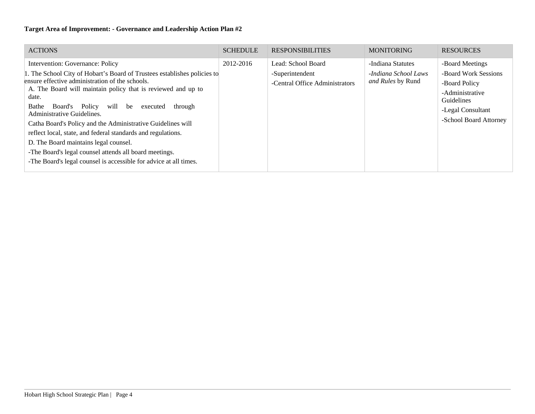| <b>ACTIONS</b>                                                                                                                                                                                                                                                                                                                    | <b>SCHEDULE</b> | <b>RESPONSIBILITIES</b>                                                 | <b>MONITORING</b>                                              | <b>RESOURCES</b>                                                                                               |
|-----------------------------------------------------------------------------------------------------------------------------------------------------------------------------------------------------------------------------------------------------------------------------------------------------------------------------------|-----------------|-------------------------------------------------------------------------|----------------------------------------------------------------|----------------------------------------------------------------------------------------------------------------|
| Intervention: Governance: Policy<br>1. The School City of Hobart's Board of Trustees establishes policies to<br>ensure effective administration of the schools.<br>A. The Board will maintain policy that is reviewed and up to<br>date.<br>Board's Policy will be executed<br>Bathe<br>through                                   | 2012-2016       | Lead: School Board<br>-Superintendent<br>-Central Office Administrators | -Indiana Statutes<br>-Indiana School Laws<br>and Rules by Rund | -Board Meetings<br>-Board Work Sessions<br>-Board Policy<br>-Administrative<br>Guidelines<br>-Legal Consultant |
| Administrative Guidelines.<br>Catha Board's Policy and the Administrative Guidelines will<br>reflect local, state, and federal standards and regulations.<br>D. The Board maintains legal counsel.<br>-The Board's legal counsel attends all board meetings.<br>-The Board's legal counsel is accessible for advice at all times. |                 |                                                                         |                                                                | -School Board Attorney                                                                                         |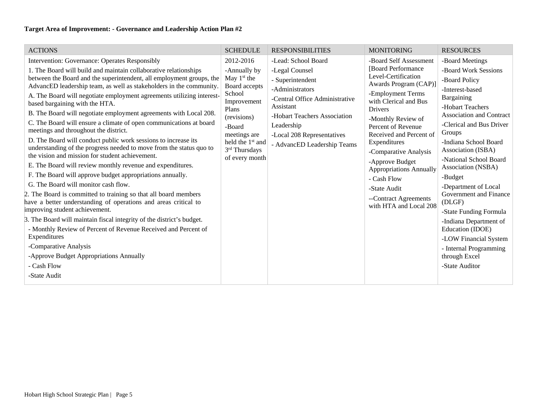| <b>ACTIONS</b>                                                                                                                                                                                                                                                                                                                                                                                                                                                                                                                                                                                                                                                                                                                                                                                                                                                                                                                                                                                                                                                                                                                                                                                                                                                                                                                                                        | <b>SCHEDULE</b>                                                                                                                                                                                           | <b>RESPONSIBILITIES</b>                                                                                                                                                                                                                | <b>MONITORING</b>                                                                                                                                                                                                                                                                                                                                                                                             | <b>RESOURCES</b>                                                                                                                                                                                                                                                                                                                                                                                                                                                                                                           |
|-----------------------------------------------------------------------------------------------------------------------------------------------------------------------------------------------------------------------------------------------------------------------------------------------------------------------------------------------------------------------------------------------------------------------------------------------------------------------------------------------------------------------------------------------------------------------------------------------------------------------------------------------------------------------------------------------------------------------------------------------------------------------------------------------------------------------------------------------------------------------------------------------------------------------------------------------------------------------------------------------------------------------------------------------------------------------------------------------------------------------------------------------------------------------------------------------------------------------------------------------------------------------------------------------------------------------------------------------------------------------|-----------------------------------------------------------------------------------------------------------------------------------------------------------------------------------------------------------|----------------------------------------------------------------------------------------------------------------------------------------------------------------------------------------------------------------------------------------|---------------------------------------------------------------------------------------------------------------------------------------------------------------------------------------------------------------------------------------------------------------------------------------------------------------------------------------------------------------------------------------------------------------|----------------------------------------------------------------------------------------------------------------------------------------------------------------------------------------------------------------------------------------------------------------------------------------------------------------------------------------------------------------------------------------------------------------------------------------------------------------------------------------------------------------------------|
| Intervention: Governance: Operates Responsibly<br>1. The Board will build and maintain collaborative relationships<br>between the Board and the superintendent, all employment groups, the<br>AdvancED leadership team, as well as stakeholders in the community.<br>A. The Board will negotiate employment agreements utilizing interest-<br>based bargaining with the HTA.<br>B. The Board will negotiate employment agreements with Local 208.<br>C. The Board will ensure a climate of open communications at board<br>meetings and throughout the district.<br>D. The Board will conduct public work sessions to increase its<br>understanding of the progress needed to move from the status quo to<br>the vision and mission for student achievement.<br>E. The Board will review monthly revenue and expenditures.<br>F. The Board will approve budget appropriations annually.<br>G. The Board will monitor cash flow.<br>2. The Board is committed to training so that all board members<br>have a better understanding of operations and areas critical to<br>improving student achievement.<br>3. The Board will maintain fiscal integrity of the district's budget.<br>- Monthly Review of Percent of Revenue Received and Percent of<br>Expenditures<br>-Comparative Analysis<br>-Approve Budget Appropriations Annually<br>- Cash Flow<br>-State Audit | 2012-2016<br>-Annually by<br>May $1st$ the<br>Board accepts<br>School<br>Improvement<br>Plans<br>(revisions)<br>-Board<br>meetings are<br>held the 1 <sup>st</sup> and<br>3rd Thursdays<br>of every month | -Lead: School Board<br>-Legal Counsel<br>- Superintendent<br>-Administrators<br>-Central Office Administrative<br>Assistant<br>-Hobart Teachers Association<br>Leadership<br>-Local 208 Representatives<br>- AdvancED Leadership Teams | -Board Self Assessment<br>[Board Performance]<br>Level-Certification<br>Awards Program (CAP)]<br>-Employment Terms<br>with Clerical and Bus<br>Drivers<br>-Monthly Review of<br>Percent of Revenue<br>Received and Percent of<br>Expenditures<br>-Comparative Analysis<br>-Approve Budget<br><b>Appropriations Annually</b><br>- Cash Flow<br>-State Audit<br>--Contract Agreements<br>with HTA and Local 208 | -Board Meetings<br>-Board Work Sessions<br>-Board Policy<br>-Interest-based<br>Bargaining<br>-Hobart Teachers<br><b>Association and Contract</b><br>-Clerical and Bus Driver<br>Groups<br>-Indiana School Board<br>Association (ISBA)<br>-National School Board<br>Association (NSBA)<br>-Budget<br>-Department of Local<br>Government and Finance<br>(DLGF)<br>-State Funding Formula<br>-Indiana Department of<br>Education (IDOE)<br>-LOW Financial System<br>- Internal Programming<br>through Excel<br>-State Auditor |
|                                                                                                                                                                                                                                                                                                                                                                                                                                                                                                                                                                                                                                                                                                                                                                                                                                                                                                                                                                                                                                                                                                                                                                                                                                                                                                                                                                       |                                                                                                                                                                                                           |                                                                                                                                                                                                                                        |                                                                                                                                                                                                                                                                                                                                                                                                               |                                                                                                                                                                                                                                                                                                                                                                                                                                                                                                                            |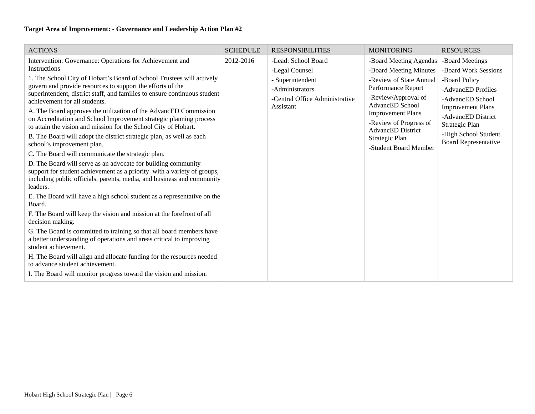| <b>ACTIONS</b>                                                                                                                                    | <b>SCHEDULE</b> | <b>RESPONSIBILITIES</b>                     | <b>MONITORING</b>                             | <b>RESOURCES</b>                               |
|---------------------------------------------------------------------------------------------------------------------------------------------------|-----------------|---------------------------------------------|-----------------------------------------------|------------------------------------------------|
| Intervention: Governance: Operations for Achievement and                                                                                          | 2012-2016       | -Lead: School Board                         | -Board Meeting Agendas                        | -Board Meetings                                |
| Instructions                                                                                                                                      |                 | -Legal Counsel                              | -Board Meeting Minutes                        | -Board Work Sessions                           |
| 1. The School City of Hobart's Board of School Trustees will actively                                                                             |                 | - Superintendent                            | -Review of State Annual                       | -Board Policy                                  |
| govern and provide resources to support the efforts of the<br>superintendent, district staff, and families to ensure continuous student           |                 | -Administrators                             | Performance Report                            | -AdvancED Profiles                             |
| achievement for all students.                                                                                                                     |                 | -Central Office Administrative<br>Assistant | -Review/Approval of<br><b>AdvancED</b> School | -AdvancED School                               |
| A. The Board approves the utilization of the AdvancED Commission                                                                                  |                 |                                             | <b>Improvement Plans</b>                      | <b>Improvement Plans</b><br>-AdvancED District |
| on Accreditation and School Improvement strategic planning process<br>to attain the vision and mission for the School City of Hobart.             |                 |                                             | -Review of Progress of                        | Strategic Plan                                 |
| B. The Board will adopt the district strategic plan, as well as each                                                                              |                 |                                             | <b>AdvancED</b> District                      | -High School Student                           |
| school's improvement plan.                                                                                                                        |                 |                                             | Strategic Plan<br>-Student Board Member       | <b>Board Representative</b>                    |
| C. The Board will communicate the strategic plan.                                                                                                 |                 |                                             |                                               |                                                |
| D. The Board will serve as an advocate for building community                                                                                     |                 |                                             |                                               |                                                |
| support for student achievement as a priority with a variety of groups,<br>including public officials, parents, media, and business and community |                 |                                             |                                               |                                                |
| leaders.                                                                                                                                          |                 |                                             |                                               |                                                |
| E. The Board will have a high school student as a representative on the                                                                           |                 |                                             |                                               |                                                |
| Board.                                                                                                                                            |                 |                                             |                                               |                                                |
| F. The Board will keep the vision and mission at the forefront of all<br>decision making.                                                         |                 |                                             |                                               |                                                |
| G. The Board is committed to training so that all board members have                                                                              |                 |                                             |                                               |                                                |
| a better understanding of operations and areas critical to improving<br>student achievement.                                                      |                 |                                             |                                               |                                                |
| H. The Board will align and allocate funding for the resources needed                                                                             |                 |                                             |                                               |                                                |
| to advance student achievement.                                                                                                                   |                 |                                             |                                               |                                                |
| I. The Board will monitor progress toward the vision and mission.                                                                                 |                 |                                             |                                               |                                                |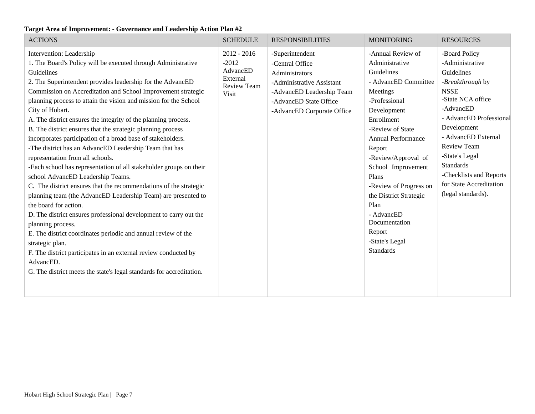| <b>ACTIONS</b>                                                                                                                                                                                                                                                                                                                                                                                                                                                                                                                                                                                                                                                                                                                                                                                                                                                                                                                                                                                                                                                                                                                                                                                                                             | <b>SCHEDULE</b>                                                                 | <b>RESPONSIBILITIES</b>                                                                                                                                                | <b>MONITORING</b>                                                                                                                                                                                                                                                                                                                                                                               | <b>RESOURCES</b>                                                                                                                                                                                                                                                                                                             |
|--------------------------------------------------------------------------------------------------------------------------------------------------------------------------------------------------------------------------------------------------------------------------------------------------------------------------------------------------------------------------------------------------------------------------------------------------------------------------------------------------------------------------------------------------------------------------------------------------------------------------------------------------------------------------------------------------------------------------------------------------------------------------------------------------------------------------------------------------------------------------------------------------------------------------------------------------------------------------------------------------------------------------------------------------------------------------------------------------------------------------------------------------------------------------------------------------------------------------------------------|---------------------------------------------------------------------------------|------------------------------------------------------------------------------------------------------------------------------------------------------------------------|-------------------------------------------------------------------------------------------------------------------------------------------------------------------------------------------------------------------------------------------------------------------------------------------------------------------------------------------------------------------------------------------------|------------------------------------------------------------------------------------------------------------------------------------------------------------------------------------------------------------------------------------------------------------------------------------------------------------------------------|
| Intervention: Leadership<br>1. The Board's Policy will be executed through Administrative<br>Guidelines<br>2. The Superintendent provides leadership for the AdvancED<br>Commission on Accreditation and School Improvement strategic<br>planning process to attain the vision and mission for the School<br>City of Hobart.<br>A. The district ensures the integrity of the planning process.<br>B. The district ensures that the strategic planning process<br>incorporates participation of a broad base of stakeholders.<br>-The district has an AdvancED Leadership Team that has<br>representation from all schools.<br>-Each school has representation of all stakeholder groups on their<br>school AdvancED Leadership Teams.<br>C. The district ensures that the recommendations of the strategic<br>planning team (the AdvancED Leadership Team) are presented to<br>the board for action.<br>D. The district ensures professional development to carry out the<br>planning process.<br>E. The district coordinates periodic and annual review of the<br>strategic plan.<br>F. The district participates in an external review conducted by<br>AdvancED.<br>G. The district meets the state's legal standards for accreditation. | $2012 - 2016$<br>$-2012$<br>AdvancED<br>External<br><b>Review Team</b><br>Visit | -Superintendent<br>-Central Office<br>Administrators<br>-Administrative Assistant<br>-AdvancED Leadership Team<br>-AdvancED State Office<br>-AdvancED Corporate Office | -Annual Review of<br>Administrative<br>Guidelines<br>- AdvancED Committee<br>Meetings<br>-Professional<br>Development<br>Enrollment<br>-Review of State<br><b>Annual Performance</b><br>Report<br>-Review/Approval of<br>School Improvement<br>Plans<br>-Review of Progress on<br>the District Strategic<br>Plan<br>- AdvancED<br>Documentation<br>Report<br>-State's Legal<br><b>Standards</b> | -Board Policy<br>-Administrative<br>Guidelines<br>-Breakthrough by<br><b>NSSE</b><br>-State NCA office<br>-AdvancED<br>- AdvancED Professional<br>Development<br>- AdvancED External<br><b>Review Team</b><br>-State's Legal<br><b>Standards</b><br>-Checklists and Reports<br>for State Accreditation<br>(legal standards). |
|                                                                                                                                                                                                                                                                                                                                                                                                                                                                                                                                                                                                                                                                                                                                                                                                                                                                                                                                                                                                                                                                                                                                                                                                                                            |                                                                                 |                                                                                                                                                                        |                                                                                                                                                                                                                                                                                                                                                                                                 |                                                                                                                                                                                                                                                                                                                              |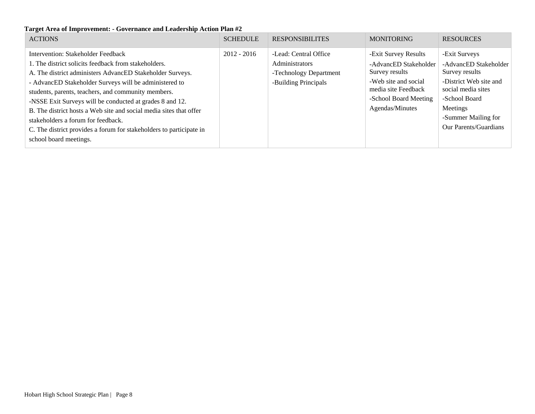| <b>ACTIONS</b>                                                                                                                                                                                                                                                                                                                                                                                                                                                                                                                                    | <b>SCHEDULE</b> | <b>RESPONSIBILITES</b>                                                                           | <b>MONITORING</b>                                                                                                                                          | <b>RESOURCES</b>                                                                                                                                                                             |
|---------------------------------------------------------------------------------------------------------------------------------------------------------------------------------------------------------------------------------------------------------------------------------------------------------------------------------------------------------------------------------------------------------------------------------------------------------------------------------------------------------------------------------------------------|-----------------|--------------------------------------------------------------------------------------------------|------------------------------------------------------------------------------------------------------------------------------------------------------------|----------------------------------------------------------------------------------------------------------------------------------------------------------------------------------------------|
| Intervention: Stakeholder Feedback<br>1. The district solicits feedback from stakeholders.<br>A. The district administers AdvancED Stakeholder Surveys.<br>- AdvancED Stakeholder Surveys will be administered to<br>students, parents, teachers, and community members.<br>-NSSE Exit Surveys will be conducted at grades 8 and 12.<br>B. The district hosts a Web site and social media sites that offer<br>stakeholders a forum for feedback.<br>C. The district provides a forum for stakeholders to participate in<br>school board meetings. | $2012 - 2016$   | -Lead: Central Office<br><b>Administrators</b><br>-Technology Department<br>-Building Principals | -Exit Survey Results<br>-AdvancED Stakeholder<br>Survey results<br>-Web site and social<br>media site Feedback<br>-School Board Meeting<br>Agendas/Minutes | -Exit Surveys<br>-AdvancED Stakeholder<br>Survey results<br>-District Web site and<br>social media sites<br>-School Board<br>Meetings<br>-Summer Mailing for<br><b>Our Parents/Guardians</b> |
|                                                                                                                                                                                                                                                                                                                                                                                                                                                                                                                                                   |                 |                                                                                                  |                                                                                                                                                            |                                                                                                                                                                                              |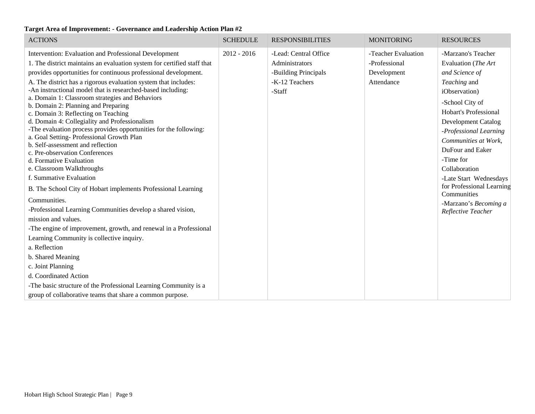| <b>ACTIONS</b>                                                                                                                                                                                                                                                                                                                                                                                                                                                                                                                                                                                                                                                                                                                                                                                     | <b>SCHEDULE</b> | <b>RESPONSIBILITIES</b>                                                                     | <b>MONITORING</b>                                                 | <b>RESOURCES</b>                                                                                                                                                                                                                                                                                            |
|----------------------------------------------------------------------------------------------------------------------------------------------------------------------------------------------------------------------------------------------------------------------------------------------------------------------------------------------------------------------------------------------------------------------------------------------------------------------------------------------------------------------------------------------------------------------------------------------------------------------------------------------------------------------------------------------------------------------------------------------------------------------------------------------------|-----------------|---------------------------------------------------------------------------------------------|-------------------------------------------------------------------|-------------------------------------------------------------------------------------------------------------------------------------------------------------------------------------------------------------------------------------------------------------------------------------------------------------|
| Intervention: Evaluation and Professional Development<br>1. The district maintains an evaluation system for certified staff that<br>provides opportunities for continuous professional development.<br>A. The district has a rigorous evaluation system that includes:<br>-An instructional model that is researched-based including:<br>a. Domain 1: Classroom strategies and Behaviors<br>b. Domain 2: Planning and Preparing<br>c. Domain 3: Reflecting on Teaching<br>d. Domain 4: Collegiality and Professionalism<br>-The evaluation process provides opportunities for the following:<br>a. Goal Setting-Professional Growth Plan<br>b. Self-assessment and reflection<br>c. Pre-observation Conferences<br>d. Formative Evaluation<br>e. Classroom Walkthroughs<br>f. Summative Evaluation | $2012 - 2016$   | -Lead: Central Office<br>Administrators<br>-Building Principals<br>-K-12 Teachers<br>-Staff | -Teacher Evaluation<br>-Professional<br>Development<br>Attendance | -Marzano's Teacher<br>Evaluation (The Art<br>and Science of<br>Teaching and<br>iObservation)<br>-School City of<br><b>Hobart's Professional</b><br><b>Development Catalog</b><br>-Professional Learning<br>Communities at Work,<br>DuFour and Eaker<br>-Time for<br>Collaboration<br>-Late Start Wednesdays |
| B. The School City of Hobart implements Professional Learning                                                                                                                                                                                                                                                                                                                                                                                                                                                                                                                                                                                                                                                                                                                                      |                 |                                                                                             |                                                                   | for Professional Learning<br>Communities                                                                                                                                                                                                                                                                    |
| Communities.<br>-Professional Learning Communities develop a shared vision,<br>mission and values.                                                                                                                                                                                                                                                                                                                                                                                                                                                                                                                                                                                                                                                                                                 |                 |                                                                                             |                                                                   | -Marzano's Becoming a<br>Reflective Teacher                                                                                                                                                                                                                                                                 |
| -The engine of improvement, growth, and renewal in a Professional<br>Learning Community is collective inquiry.<br>a. Reflection                                                                                                                                                                                                                                                                                                                                                                                                                                                                                                                                                                                                                                                                    |                 |                                                                                             |                                                                   |                                                                                                                                                                                                                                                                                                             |
| b. Shared Meaning                                                                                                                                                                                                                                                                                                                                                                                                                                                                                                                                                                                                                                                                                                                                                                                  |                 |                                                                                             |                                                                   |                                                                                                                                                                                                                                                                                                             |
| c. Joint Planning<br>d. Coordinated Action                                                                                                                                                                                                                                                                                                                                                                                                                                                                                                                                                                                                                                                                                                                                                         |                 |                                                                                             |                                                                   |                                                                                                                                                                                                                                                                                                             |
| -The basic structure of the Professional Learning Community is a                                                                                                                                                                                                                                                                                                                                                                                                                                                                                                                                                                                                                                                                                                                                   |                 |                                                                                             |                                                                   |                                                                                                                                                                                                                                                                                                             |
| group of collaborative teams that share a common purpose.                                                                                                                                                                                                                                                                                                                                                                                                                                                                                                                                                                                                                                                                                                                                          |                 |                                                                                             |                                                                   |                                                                                                                                                                                                                                                                                                             |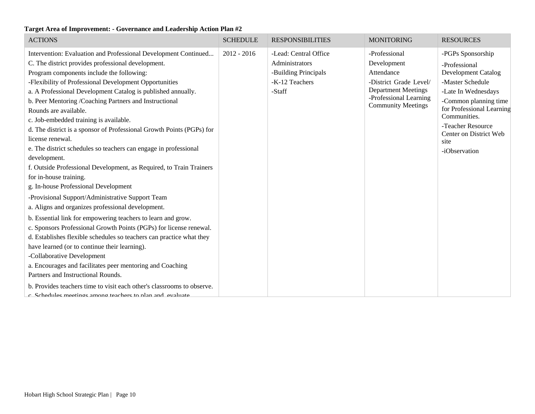| <b>ACTIONS</b>                                                         | <b>SCHEDULE</b> | <b>RESPONSIBILITIES</b> | <b>MONITORING</b>                                   | <b>RESOURCES</b>                            |
|------------------------------------------------------------------------|-----------------|-------------------------|-----------------------------------------------------|---------------------------------------------|
| Intervention: Evaluation and Professional Development Continued        | $2012 - 2016$   | -Lead: Central Office   | -Professional                                       | -PGPs Sponsorship                           |
| C. The district provides professional development.                     |                 | Administrators          | Development                                         | -Professional                               |
| Program components include the following:                              |                 | -Building Principals    | Attendance                                          | <b>Development Catalog</b>                  |
| -Flexibility of Professional Development Opportunities                 |                 | -K-12 Teachers          | -District Grade Level/                              | -Master Schedule                            |
| a. A Professional Development Catalog is published annually.           |                 | -Staff                  | <b>Department Meetings</b>                          | -Late In Wednesdays                         |
| b. Peer Mentoring /Coaching Partners and Instructional                 |                 |                         | -Professional Learning<br><b>Community Meetings</b> | -Common planning time                       |
| Rounds are available.                                                  |                 |                         |                                                     | for Professional Learning                   |
| c. Job-embedded training is available.                                 |                 |                         |                                                     | Communities.                                |
| d. The district is a sponsor of Professional Growth Points (PGPs) for  |                 |                         |                                                     | -Teacher Resource<br>Center on District Web |
| license renewal.                                                       |                 |                         |                                                     | site                                        |
| e. The district schedules so teachers can engage in professional       |                 |                         |                                                     | -iObservation                               |
| development.                                                           |                 |                         |                                                     |                                             |
| f. Outside Professional Development, as Required, to Train Trainers    |                 |                         |                                                     |                                             |
| for in-house training.                                                 |                 |                         |                                                     |                                             |
| g. In-house Professional Development                                   |                 |                         |                                                     |                                             |
| -Provisional Support/Administrative Support Team                       |                 |                         |                                                     |                                             |
| a. Aligns and organizes professional development.                      |                 |                         |                                                     |                                             |
| b. Essential link for empowering teachers to learn and grow.           |                 |                         |                                                     |                                             |
| c. Sponsors Professional Growth Points (PGPs) for license renewal.     |                 |                         |                                                     |                                             |
| d. Establishes flexible schedules so teachers can practice what they   |                 |                         |                                                     |                                             |
| have learned (or to continue their learning).                          |                 |                         |                                                     |                                             |
| -Collaborative Development                                             |                 |                         |                                                     |                                             |
| a. Encourages and facilitates peer mentoring and Coaching              |                 |                         |                                                     |                                             |
| Partners and Instructional Rounds.                                     |                 |                         |                                                     |                                             |
| b. Provides teachers time to visit each other's classrooms to observe. |                 |                         |                                                     |                                             |
| c. Schedules meetings among teachers to plan and evaluate              |                 |                         |                                                     |                                             |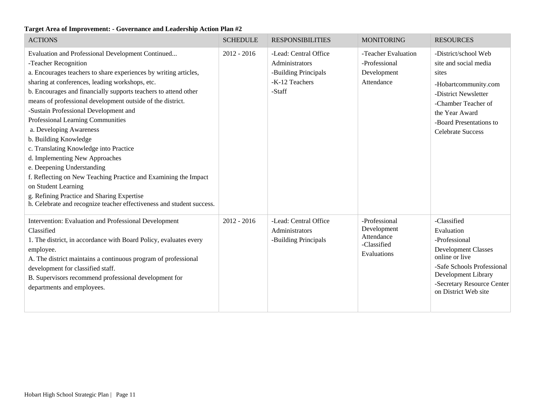| <b>ACTIONS</b>                                                                                                                                                                                                                                                                                                                                                                                                                                                                                                                                                                                                                                                                                                                                                                                 | <b>SCHEDULE</b> | <b>RESPONSIBILITIES</b>                                                                     | <b>MONITORING</b>                                                        | <b>RESOURCES</b>                                                                                                                                                                                       |
|------------------------------------------------------------------------------------------------------------------------------------------------------------------------------------------------------------------------------------------------------------------------------------------------------------------------------------------------------------------------------------------------------------------------------------------------------------------------------------------------------------------------------------------------------------------------------------------------------------------------------------------------------------------------------------------------------------------------------------------------------------------------------------------------|-----------------|---------------------------------------------------------------------------------------------|--------------------------------------------------------------------------|--------------------------------------------------------------------------------------------------------------------------------------------------------------------------------------------------------|
| Evaluation and Professional Development Continued<br>-Teacher Recognition<br>a. Encourages teachers to share experiences by writing articles,<br>sharing at conferences, leading workshops, etc.<br>b. Encourages and financially supports teachers to attend other<br>means of professional development outside of the district.<br>-Sustain Professional Development and<br>Professional Learning Communities<br>a. Developing Awareness<br>b. Building Knowledge<br>c. Translating Knowledge into Practice<br>d. Implementing New Approaches<br>e. Deepening Understanding<br>f. Reflecting on New Teaching Practice and Examining the Impact<br>on Student Learning<br>g. Refining Practice and Sharing Expertise<br>h. Celebrate and recognize teacher effectiveness and student success. | $2012 - 2016$   | -Lead: Central Office<br>Administrators<br>-Building Principals<br>-K-12 Teachers<br>-Staff | -Teacher Evaluation<br>-Professional<br>Development<br>Attendance        | -District/school Web<br>site and social media<br>sites<br>-Hobartcommunity.com<br>-District Newsletter<br>-Chamber Teacher of<br>the Year Award<br>-Board Presentations to<br><b>Celebrate Success</b> |
| Intervention: Evaluation and Professional Development<br>Classified<br>1. The district, in accordance with Board Policy, evaluates every<br>employee.<br>A. The district maintains a continuous program of professional<br>development for classified staff.<br>B. Supervisors recommend professional development for<br>departments and employees.                                                                                                                                                                                                                                                                                                                                                                                                                                            | $2012 - 2016$   | -Lead: Central Office<br>Administrators<br>-Building Principals                             | -Professional<br>Development<br>Attendance<br>-Classified<br>Evaluations | -Classified<br>Evaluation<br>-Professional<br><b>Development Classes</b><br>online or live<br>-Safe Schools Professional<br>Development Library<br>-Secretary Resource Center<br>on District Web site  |